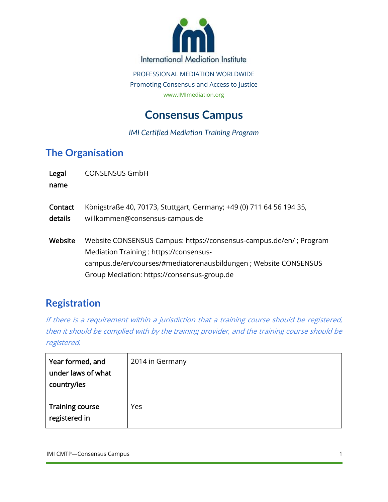

PROFESSIONAL MEDIATION WORLDWIDE Promoting Consensus and Access to Justice www.IMImediation.org

# **Consensus Campus**

#### *IMI Certified Mediation Training Program*

### **The Organisation**

| Legal<br>name      | <b>CONSENSUS GmbH</b>                                                                                                                                                                                                            |
|--------------------|----------------------------------------------------------------------------------------------------------------------------------------------------------------------------------------------------------------------------------|
| Contact<br>details | Königstraße 40, 70173, Stuttgart, Germany; +49 (0) 711 64 56 194 35,<br>willkommen@consensus-campus.de                                                                                                                           |
| Website            | Website CONSENSUS Campus: https://consensus-campus.de/en/ ; Program<br>Mediation Training: https://consensus-<br>campus.de/en/courses/#mediatorenausbildungen ; Website CONSENSUS<br>Group Mediation: https://consensus-group.de |

### **Registration**

If there is a requirement within a jurisdiction that a training course should be registered, then it should be complied with by the training provider, and the training course should be registered.

| Year formed, and<br>under laws of what<br>country/ies | 2014 in Germany |
|-------------------------------------------------------|-----------------|
| Training course<br>registered in                      | Yes             |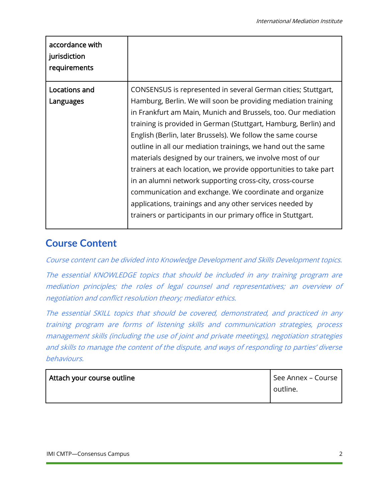| accordance with<br>jurisdiction<br>requirements |                                                                                                                                                                                                                                                                                                                                                                                                                                                                                                                                                                                                 |
|-------------------------------------------------|-------------------------------------------------------------------------------------------------------------------------------------------------------------------------------------------------------------------------------------------------------------------------------------------------------------------------------------------------------------------------------------------------------------------------------------------------------------------------------------------------------------------------------------------------------------------------------------------------|
| Locations and<br>Languages                      | CONSENSUS is represented in several German cities; Stuttgart,<br>Hamburg, Berlin. We will soon be providing mediation training<br>in Frankfurt am Main, Munich and Brussels, too. Our mediation<br>training is provided in German (Stuttgart, Hamburg, Berlin) and<br>English (Berlin, later Brussels). We follow the same course<br>outline in all our mediation trainings, we hand out the same<br>materials designed by our trainers, we involve most of our<br>trainers at each location, we provide opportunities to take part<br>in an alumni network supporting cross-city, cross-course |
|                                                 | communication and exchange. We coordinate and organize<br>applications, trainings and any other services needed by<br>trainers or participants in our primary office in Stuttgart.                                                                                                                                                                                                                                                                                                                                                                                                              |

#### **Course Content**

Course content can be divided into Knowledge Development and Skills Development topics.

The essential KNOWLEDGE topics that should be included in any training program are mediation principles; the roles of legal counsel and representatives; an overview of negotiation and conflict resolution theory; mediator ethics.

The essential SKILL topics that should be covered, demonstrated, and practiced in any training program are forms of listening skills and communication strategies, process management skills (including the use of joint and private meetings), negotiation strategies and skills to manage the content of the dispute, and ways of responding to parties' diverse behaviours.

| Attach your course outline | See Annex – Course |
|----------------------------|--------------------|
|                            | outline.           |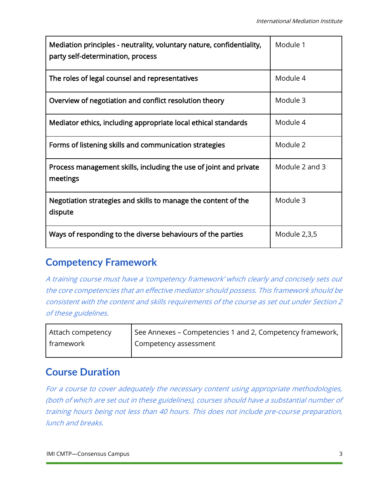| Mediation principles - neutrality, voluntary nature, confidentiality,<br>party self-determination, process | Module 1       |
|------------------------------------------------------------------------------------------------------------|----------------|
| The roles of legal counsel and representatives                                                             | Module 4       |
| Overview of negotiation and conflict resolution theory                                                     | Module 3       |
| Mediator ethics, including appropriate local ethical standards                                             | Module 4       |
| Forms of listening skills and communication strategies                                                     | Module 2       |
| Process management skills, including the use of joint and private<br>meetings                              | Module 2 and 3 |
| Negotiation strategies and skills to manage the content of the<br>dispute                                  | Module 3       |
| Ways of responding to the diverse behaviours of the parties                                                | Module 2,3,5   |

#### **Competency Framework**

A training course must have a 'competency framework' which clearly and concisely sets out the core competencies that an effective mediator should possess. This framework should be consistent with the content and skills requirements of the course as set out under Section 2 of these guidelines.

| Attach competency | See Annexes - Competencies 1 and 2, Competency framework, |
|-------------------|-----------------------------------------------------------|
| framework         | Competency assessment                                     |

#### **Course Duration**

For a course to cover adequately the necessary content using appropriate methodologies, (both of which are set out in these guidelines), courses should have a substantial number of training hours being not less than 40 hours. This does not include pre-course preparation, lunch and breaks.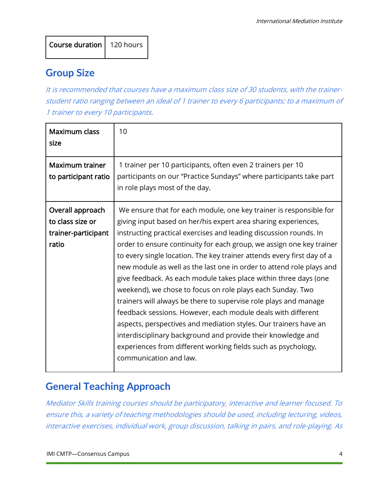#### **Group Size**

It is recommended that courses have a maximum class size of 30 students, with the trainerstudent ratio ranging between an ideal of 1 trainer to every 6 participants; to a maximum of 1 trainer to every 10 participants.

| <b>Maximum class</b><br>size                                         | 10                                                                                                                                                                                                                                                                                                                                                                                                                                                                                                                                                                                                                                                                                                                                                                                                                                                                                                                                       |
|----------------------------------------------------------------------|------------------------------------------------------------------------------------------------------------------------------------------------------------------------------------------------------------------------------------------------------------------------------------------------------------------------------------------------------------------------------------------------------------------------------------------------------------------------------------------------------------------------------------------------------------------------------------------------------------------------------------------------------------------------------------------------------------------------------------------------------------------------------------------------------------------------------------------------------------------------------------------------------------------------------------------|
| <b>Maximum trainer</b><br>to participant ratio                       | 1 trainer per 10 participants, often even 2 trainers per 10<br>participants on our "Practice Sundays" where participants take part<br>in role plays most of the day.                                                                                                                                                                                                                                                                                                                                                                                                                                                                                                                                                                                                                                                                                                                                                                     |
| Overall approach<br>to class size or<br>trainer-participant<br>ratio | We ensure that for each module, one key trainer is responsible for<br>giving input based on her/his expert area sharing experiences,<br>instructing practical exercises and leading discussion rounds. In<br>order to ensure continuity for each group, we assign one key trainer<br>to every single location. The key trainer attends every first day of a<br>new module as well as the last one in order to attend role plays and<br>give feedback. As each module takes place within three days (one<br>weekend), we chose to focus on role plays each Sunday. Two<br>trainers will always be there to supervise role plays and manage<br>feedback sessions. However, each module deals with different<br>aspects, perspectives and mediation styles. Our trainers have an<br>interdisciplinary background and provide their knowledge and<br>experiences from different working fields such as psychology,<br>communication and law. |

# **General Teaching Approach**

Mediator Skills training courses should be participatory, interactive and learner focused. To ensure this, a variety of teaching methodologies should be used, including lecturing, videos, interactive exercises, individual work, group discussion, talking in pairs, and role-playing. As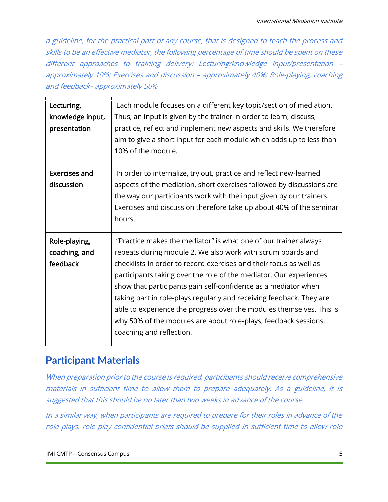a guideline, for the practical part of any course, that is designed to teach the process and skills to be an effective mediator, the following percentage of time should be spent on these different approaches to training delivery: Lecturing/knowledge input/presentation – approximately 10%; Exercises and discussion – approximately 40%; Role-playing, coaching and feedback– approximately 50%

| Lecturing,<br>knowledge input,<br>presentation | Each module focuses on a different key topic/section of mediation.<br>Thus, an input is given by the trainer in order to learn, discuss,<br>practice, reflect and implement new aspects and skills. We therefore<br>aim to give a short input for each module which adds up to less than<br>10% of the module.                                                                                                                                                                                                                                                                              |
|------------------------------------------------|---------------------------------------------------------------------------------------------------------------------------------------------------------------------------------------------------------------------------------------------------------------------------------------------------------------------------------------------------------------------------------------------------------------------------------------------------------------------------------------------------------------------------------------------------------------------------------------------|
| <b>Exercises and</b><br>discussion             | In order to internalize, try out, practice and reflect new-learned<br>aspects of the mediation, short exercises followed by discussions are<br>the way our participants work with the input given by our trainers.<br>Exercises and discussion therefore take up about 40% of the seminar<br>hours.                                                                                                                                                                                                                                                                                         |
| Role-playing,<br>coaching, and<br>feedback     | "Practice makes the mediator" is what one of our trainer always<br>repeats during module 2. We also work with scrum boards and<br>checklists in order to record exercises and their focus as well as<br>participants taking over the role of the mediator. Our experiences<br>show that participants gain self-confidence as a mediator when<br>taking part in role-plays regularly and receiving feedback. They are<br>able to experience the progress over the modules themselves. This is<br>why 50% of the modules are about role-plays, feedback sessions,<br>coaching and reflection. |

### **Participant Materials**

When preparation prior to the course is required, participants should receive comprehensive materials in sufficient time to allow them to prepare adequately. As a guideline, it is suggested that this should be no later than two weeks in advance of the course.

In a similar way, when participants are required to prepare for their roles in advance of the role plays, role play confidential briefs should be supplied in sufficient time to allow role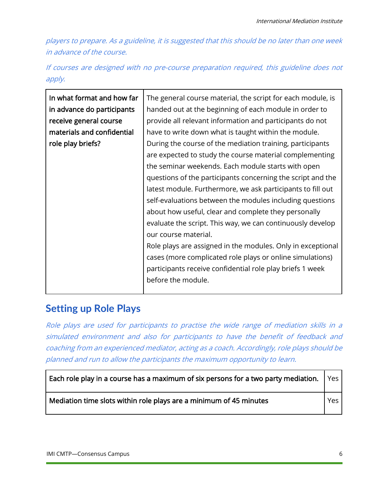players to prepare. As a guideline, it is suggested that this should be no later than one week in advance of the course.

If courses are designed with no pre-course preparation required, this guideline does not apply.

| In what format and how far | The general course material, the script for each module, is |
|----------------------------|-------------------------------------------------------------|
| in advance do participants | handed out at the beginning of each module in order to      |
| receive general course     | provide all relevant information and participants do not    |
| materials and confidential | have to write down what is taught within the module.        |
| role play briefs?          | During the course of the mediation training, participants   |
|                            | are expected to study the course material complementing     |
|                            | the seminar weekends. Each module starts with open          |
|                            | questions of the participants concerning the script and the |
|                            | latest module. Furthermore, we ask participants to fill out |
|                            | self-evaluations between the modules including questions    |
|                            | about how useful, clear and complete they personally        |
|                            | evaluate the script. This way, we can continuously develop  |
|                            | our course material.                                        |
|                            | Role plays are assigned in the modules. Only in exceptional |
|                            | cases (more complicated role plays or online simulations)   |
|                            | participants receive confidential role play briefs 1 week   |
|                            | before the module.                                          |
|                            |                                                             |

#### **Setting up Role Plays**

Role plays are used for participants to practise the wide range of mediation skills in a simulated environment and also for participants to have the benefit of feedback and coaching from an experienced mediator, acting as a coach. Accordingly, role plays should be planned and run to allow the participants the maximum opportunity to learn.

| $\vert$ Each role play in a course has a maximum of six persons for a two party mediation. $\vert$ Yes $\vert$ |                  |  |
|----------------------------------------------------------------------------------------------------------------|------------------|--|
| Mediation time slots within role plays are a minimum of 45 minutes                                             | Yes <sub>l</sub> |  |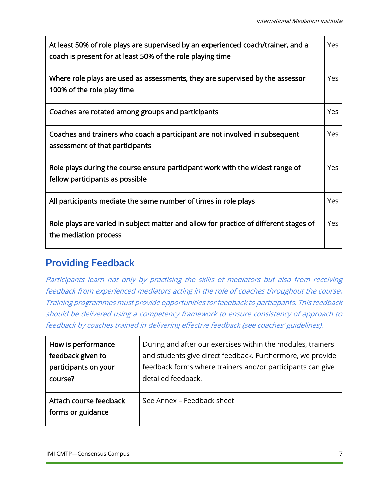| At least 50% of role plays are supervised by an experienced coach/trainer, and a<br>coach is present for at least 50% of the role playing time | Yes        |
|------------------------------------------------------------------------------------------------------------------------------------------------|------------|
| Where role plays are used as assessments, they are supervised by the assessor<br>100% of the role play time                                    | <b>Yes</b> |
| Coaches are rotated among groups and participants                                                                                              | <b>Yes</b> |
| Coaches and trainers who coach a participant are not involved in subsequent<br>assessment of that participants                                 | Yes        |
| Role plays during the course ensure participant work with the widest range of<br>fellow participants as possible                               | Yes        |
| All participants mediate the same number of times in role plays                                                                                | <b>Yes</b> |
| Role plays are varied in subject matter and allow for practice of different stages of<br>the mediation process                                 | Yes        |

#### **Providing Feedback**

Participants learn not only by practising the skills of mediators but also from receiving feedback from experienced mediators acting in the role of coaches throughout the course. Training programmes must provide opportunities for feedback to participants. This feedback should be delivered using a competency framework to ensure consistency of approach to feedback by coaches trained in delivering effective feedback (see coaches' guidelines).

| How is performance                          | During and after our exercises within the modules, trainers |
|---------------------------------------------|-------------------------------------------------------------|
| feedback given to                           | and students give direct feedback. Furthermore, we provide  |
| participants on your                        | feedback forms where trainers and/or participants can give  |
| course?                                     | detailed feedback.                                          |
| Attach course feedback<br>forms or guidance | See Annex - Feedback sheet                                  |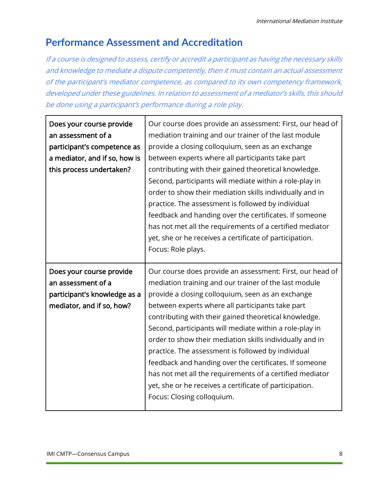### **Performance Assessment and Accreditation**

If a course is designed to assess, certify or accredit a participant as having the necessary skills and knowledge to mediate a dispute competently, then it must contain an actual assessment of the participant's mediator competence, as compared to its own competency framework, developed under these guidelines. In relation to assessment of a mediator's skills, this should be done using a participant's performance during a role play.

| Does your course provide<br>an assessment of a<br>participant's competence as<br>a mediator, and if so, how is<br>this process undertaken? | Our course does provide an assessment: First, our head of<br>mediation training and our trainer of the last module<br>provide a closing colloquium, seen as an exchange<br>between experts where all participants take part<br>contributing with their gained theoretical knowledge.<br>Second, participants will mediate within a role-play in<br>order to show their mediation skills individually and in<br>practice. The assessment is followed by individual<br>feedback and handing over the certificates. If someone<br>has not met all the requirements of a certified mediator<br>yet, she or he receives a certificate of participation.<br>Focus: Role plays. |
|--------------------------------------------------------------------------------------------------------------------------------------------|--------------------------------------------------------------------------------------------------------------------------------------------------------------------------------------------------------------------------------------------------------------------------------------------------------------------------------------------------------------------------------------------------------------------------------------------------------------------------------------------------------------------------------------------------------------------------------------------------------------------------------------------------------------------------|
| Does your course provide<br>an assessment of a                                                                                             | Our course does provide an assessment: First, our head of<br>mediation training and our trainer of the last module                                                                                                                                                                                                                                                                                                                                                                                                                                                                                                                                                       |
| participant's knowledge as a                                                                                                               | provide a closing colloquium, seen as an exchange                                                                                                                                                                                                                                                                                                                                                                                                                                                                                                                                                                                                                        |
| mediator, and if so, how?                                                                                                                  | between experts where all participants take part<br>contributing with their gained theoretical knowledge.<br>Second, participants will mediate within a role-play in<br>order to show their mediation skills individually and in<br>practice. The assessment is followed by individual<br>feedback and handing over the certificates. If someone<br>has not met all the requirements of a certified mediator<br>yet, she or he receives a certificate of participation.<br>Focus: Closing colloquium.                                                                                                                                                                    |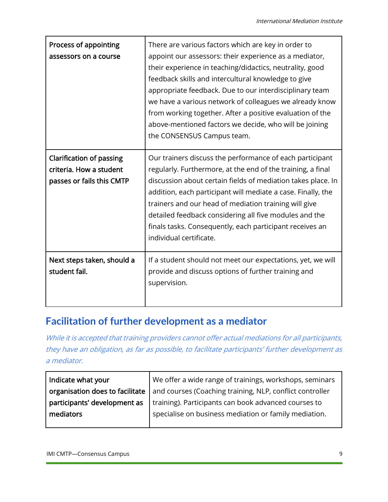| Process of appointing<br>assessors on a course                                          | There are various factors which are key in order to<br>appoint our assessors: their experience as a mediator,<br>their experience in teaching/didactics, neutrality, good<br>feedback skills and intercultural knowledge to give<br>appropriate feedback. Due to our interdisciplinary team<br>we have a various network of colleagues we already know<br>from working together. After a positive evaluation of the<br>above-mentioned factors we decide, who will be joining<br>the CONSENSUS Campus team. |
|-----------------------------------------------------------------------------------------|-------------------------------------------------------------------------------------------------------------------------------------------------------------------------------------------------------------------------------------------------------------------------------------------------------------------------------------------------------------------------------------------------------------------------------------------------------------------------------------------------------------|
| <b>Clarification of passing</b><br>criteria. How a student<br>passes or fails this CMTP | Our trainers discuss the performance of each participant<br>regularly. Furthermore, at the end of the training, a final<br>discussion about certain fields of mediation takes place. In<br>addition, each participant will mediate a case. Finally, the<br>trainers and our head of mediation training will give<br>detailed feedback considering all five modules and the<br>finals tasks. Consequently, each participant receives an<br>individual certificate.                                           |
| Next steps taken, should a<br>student fail.                                             | If a student should not meet our expectations, yet, we will<br>provide and discuss options of further training and<br>supervision.                                                                                                                                                                                                                                                                                                                                                                          |

### **Facilitation of further development as a mediator**

While it is accepted that training providers cannot offer actual mediations for all participants, they have an obligation, as far as possible, to facilitate participants' further development as a mediator.

| Indicate what your              | We offer a wide range of trainings, workshops, seminars  |
|---------------------------------|----------------------------------------------------------|
| organisation does to facilitate | and courses (Coaching training, NLP, conflict controller |
| participants' development as    | training). Participants can book advanced courses to     |
| mediators                       | specialise on business mediation or family mediation.    |
|                                 |                                                          |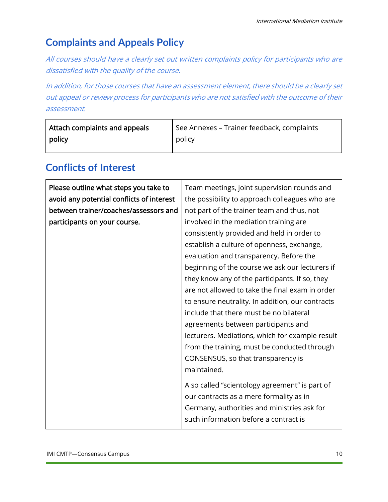# **Complaints and Appeals Policy**

All courses should have a clearly set out written complaints policy for participants who are dissatisfied with the quality of the course.

In addition, for those courses that have an assessment element, there should be a clearly set out appeal or review process for participants who are not satisfied with the outcome of their assessment.

| Attach complaints and appeals | See Annexes - Trainer feedback, complaints |
|-------------------------------|--------------------------------------------|
| policy                        | policy                                     |

## **Conflicts of Interest**

| Please outline what steps you take to     | Team meetings, joint supervision rounds and      |
|-------------------------------------------|--------------------------------------------------|
| avoid any potential conflicts of interest | the possibility to approach colleagues who are   |
| between trainer/coaches/assessors and     | not part of the trainer team and thus, not       |
| participants on your course.              | involved in the mediation training are           |
|                                           | consistently provided and held in order to       |
|                                           | establish a culture of openness, exchange,       |
|                                           | evaluation and transparency. Before the          |
|                                           | beginning of the course we ask our lecturers if  |
|                                           | they know any of the participants. If so, they   |
|                                           | are not allowed to take the final exam in order  |
|                                           | to ensure neutrality. In addition, our contracts |
|                                           | include that there must be no bilateral          |
|                                           | agreements between participants and              |
|                                           | lecturers. Mediations, which for example result  |
|                                           | from the training, must be conducted through     |
|                                           | CONSENSUS, so that transparency is               |
|                                           | maintained.                                      |
|                                           | A so called "scientology agreement" is part of   |
|                                           | our contracts as a mere formality as in          |
|                                           | Germany, authorities and ministries ask for      |
|                                           | such information before a contract is            |
|                                           |                                                  |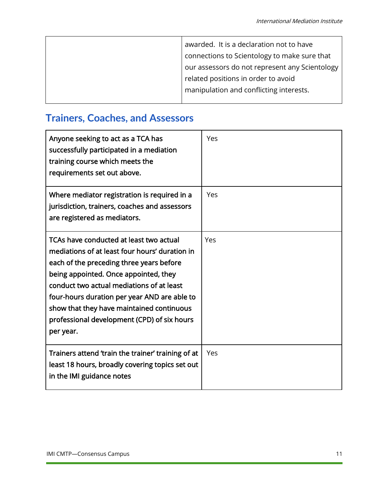| awarded. It is a declaration not to have       |
|------------------------------------------------|
| connections to Scientology to make sure that   |
| our assessors do not represent any Scientology |
| related positions in order to avoid            |
| manipulation and conflicting interests.        |
|                                                |

# **Trainers, Coaches, and Assessors**

| Anyone seeking to act as a TCA has<br>successfully participated in a mediation<br>training course which meets the<br>requirements set out above.                                                                                                                                                                                                                                     | Yes |
|--------------------------------------------------------------------------------------------------------------------------------------------------------------------------------------------------------------------------------------------------------------------------------------------------------------------------------------------------------------------------------------|-----|
| Where mediator registration is required in a<br>jurisdiction, trainers, coaches and assessors<br>are registered as mediators.                                                                                                                                                                                                                                                        | Yes |
| TCAs have conducted at least two actual<br>mediations of at least four hours' duration in<br>each of the preceding three years before<br>being appointed. Once appointed, they<br>conduct two actual mediations of at least<br>four-hours duration per year AND are able to<br>show that they have maintained continuous<br>professional development (CPD) of six hours<br>per year. | Yes |
| Trainers attend 'train the trainer' training of at<br>least 18 hours, broadly covering topics set out<br>in the IMI guidance notes                                                                                                                                                                                                                                                   | Yes |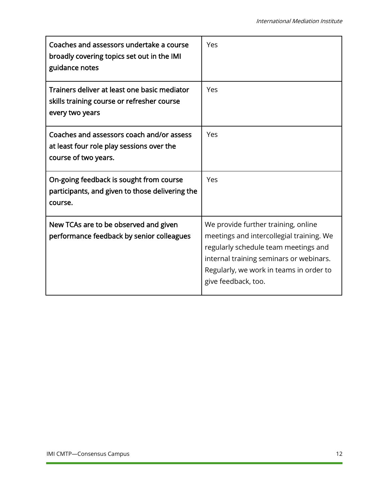| Coaches and assessors undertake a course<br>broadly covering topics set out in the IMI<br>guidance notes       | Yes                                                                                                                                                                                                                                  |
|----------------------------------------------------------------------------------------------------------------|--------------------------------------------------------------------------------------------------------------------------------------------------------------------------------------------------------------------------------------|
| Trainers deliver at least one basic mediator<br>skills training course or refresher course<br>every two years  | Yes                                                                                                                                                                                                                                  |
| Coaches and assessors coach and/or assess<br>at least four role play sessions over the<br>course of two years. | Yes                                                                                                                                                                                                                                  |
| On-going feedback is sought from course<br>participants, and given to those delivering the<br>course.          | Yes                                                                                                                                                                                                                                  |
| New TCAs are to be observed and given<br>performance feedback by senior colleagues                             | We provide further training, online<br>meetings and intercollegial training. We<br>regularly schedule team meetings and<br>internal training seminars or webinars.<br>Regularly, we work in teams in order to<br>give feedback, too. |